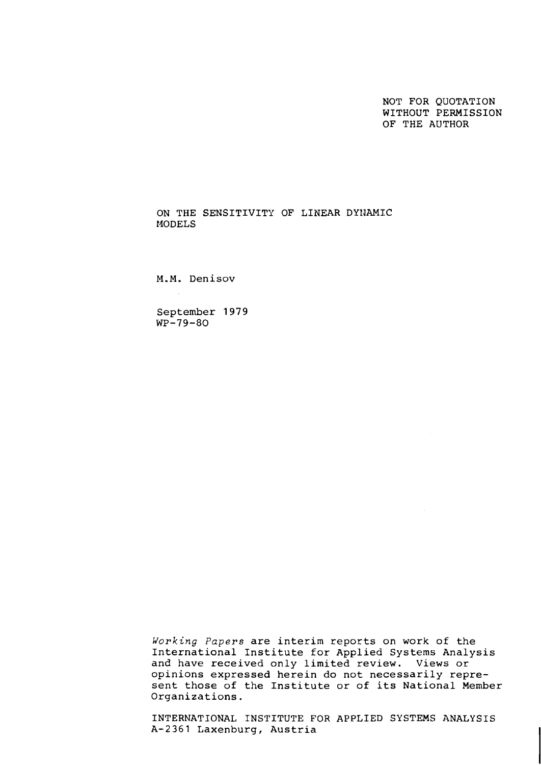NOT FOR QUOTATION WITHOUT PERMISSION OF THE AUTHOR

ON THE SENSITIVITY OF LINEAR DYNAMIC MODELS

M.M. Denisov

September 1979  $WP-79-80$ 

Working Papers are interim reports on work of the International Institute for Applied Systems Analysis and have received only limited review. Views or opinions expressed herein do not necessarily represent those of the Institute or of its National Member Organizations.

INTERNATIONAL INSTITUTE FOR APPLIED SYSTEMS ANALYSIS A-2361 Laxenburg, Austria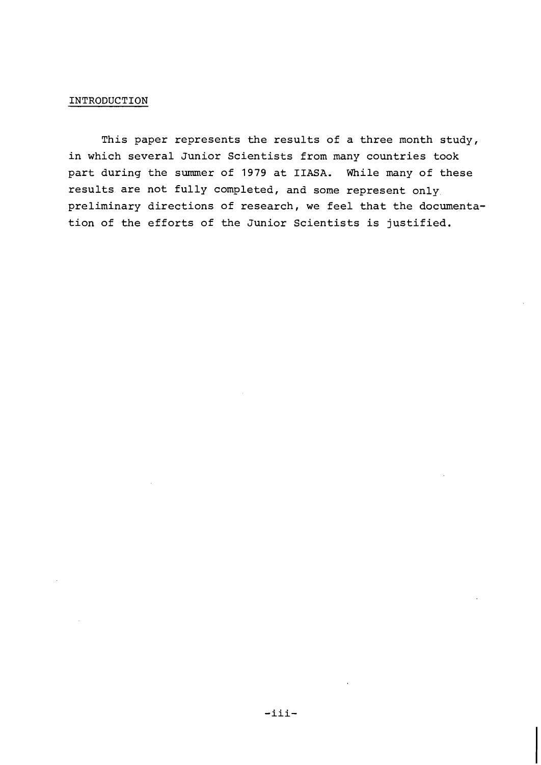## INTRODUCTION

This paper represents the results of a three month study, in which several Junior Scientists from many countries took part during the summer of 1979 at **IIASA.** While many of these results are not fully completed, and some represent only preliminary directions of research, we feel that the documentation of the efforts of the Junior Scientists is justified.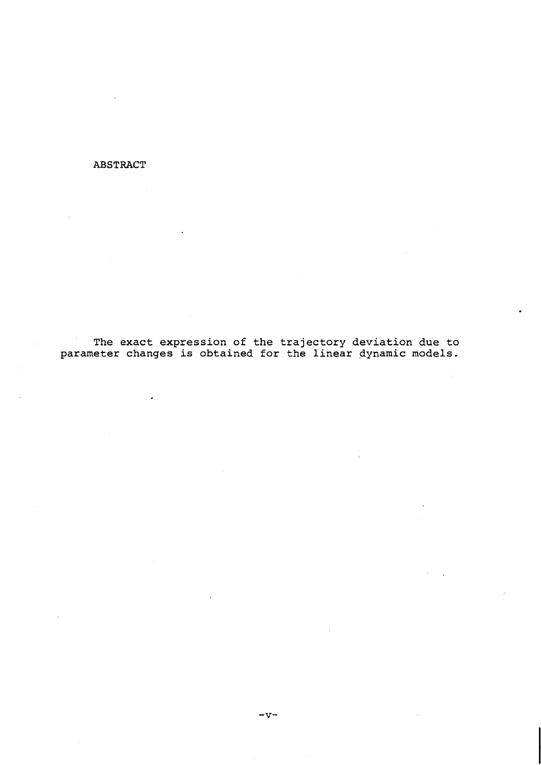## **ABSTRACT**

**The exact expression of the trajectory deviation due to parameter changes is obtained for the linear dynamic models.**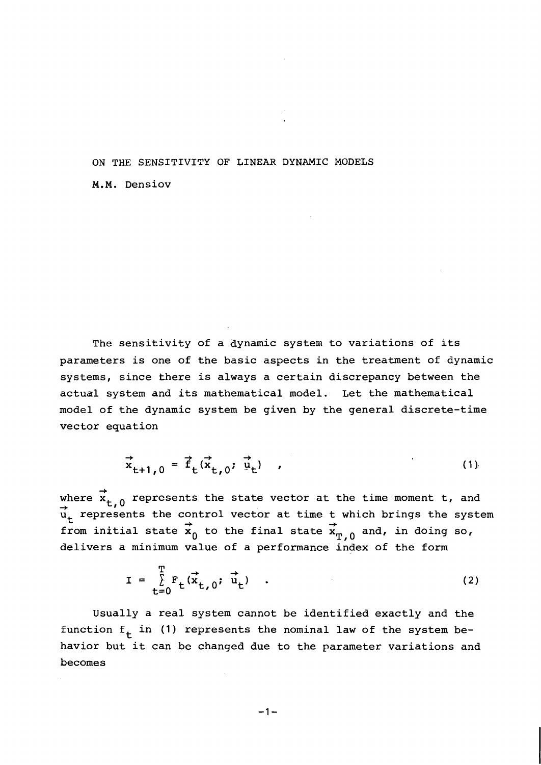## ON THE SENSITIVITY OF LINEAR DYNAMIC MODELS

M.M. Densiov

The sensitivity of a dynamic system to variations of its parameters is one of the basic aspects in the treatment of dynamic systems, since there is always a certain discrepancy between the actual system and its mathematical model. Let the mathematical model of the dynamic system be given by the general discrete-time vector equation

$$
\vec{x}_{t+1,0} = \vec{f}_t(\vec{x}_{t,0}; \vec{u}_t) \qquad (1)
$$

where  $\vec{x}_{t,0}$  represents the state vector at the time moment t, and  $\vec{u}_t$  represents the control vector at time t which brings the system  $\vec{u}_t$ from initial state  $\mathbf{x}_0$  to the final state  $\mathbf{x}_{\text{T},0}$  and, in doing so, delivers a minimum value of a performance index of the form

$$
I = \sum_{t=0}^{T} F_t(\vec{x}_{t,0}; \vec{u}_t) \quad . \tag{2}
$$

Usually a real system cannot be identified exactly and the function  $f_t$  in (1) represents the nominal law of the system behavior but it can be changed due to the parameter variations and becomes

$$
-1 -
$$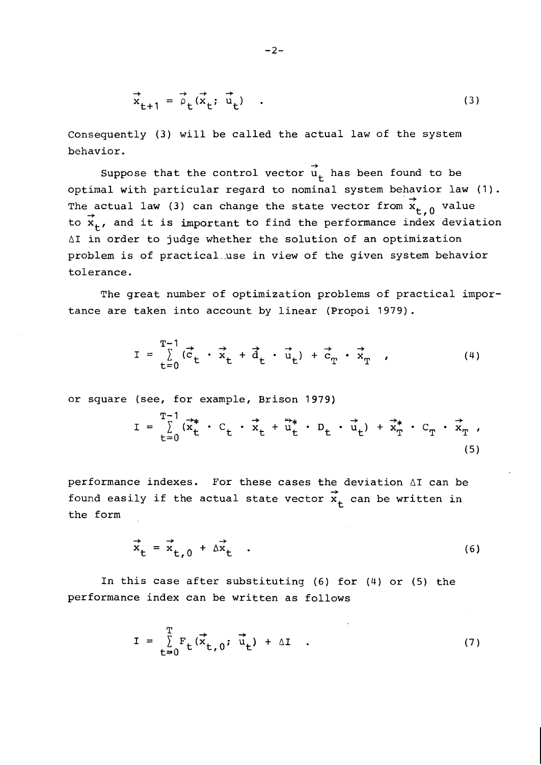$$
\vec{x}_{t+1} = \vec{\rho}_t(\vec{x}_t; \vec{u}_t) \quad . \tag{3}
$$

Consequently (3) will be called the actual law of the system behavior.

 $\rightarrow$ Suppose that the control vector  $u_{+}$  has been found to be optimal with particular regard to nominal system behavior law (1). The actual law (3) can change the state vector from  $\vec{x}_{t,0}$  value to  $\vec{x}_t$ , and it is important to find the performance index deviation **A1** in order to judge whether the solution of an optimization problem is of practical..use in view of the given system behavior tolerance.

The great number of optimization problems of practical importance are taken into account by linear (Propoi 1979).

$$
\mathbf{I} = \sum_{t=0}^{T-1} (\vec{c}_t \cdot \vec{x}_t + \vec{d}_t \cdot \vec{u}_t) + \vec{c}_T \cdot \vec{x}_T \quad , \tag{4}
$$

or square (see, for example, Brison 1979)

$$
I = \sum_{t=0}^{T-1} (\vec{x}_t^* \cdot C_t \cdot \vec{x}_t + \vec{u}_t^* \cdot D_t \cdot \vec{u}_t) + \vec{x}_T^* \cdot C_T \cdot \vec{x}_T,
$$
\n(5)

performance indexes. For these cases the deviation **A1** can be .<br>found easily if the actual state vector  $\stackrel{\rightarrow}{\mathbf{x}}_{+}$  can be written in the form

$$
\vec{x}_t = \vec{x}_{t,0} + \Delta \vec{x}_t
$$
 (6)

In this case after substituting (6) for (4) or (5) the performance index can be written as follows

$$
I = \sum_{t=0}^{T} F_t(\vec{x}_{t,0}; \vec{u}_t) + \Delta I \quad . \tag{7}
$$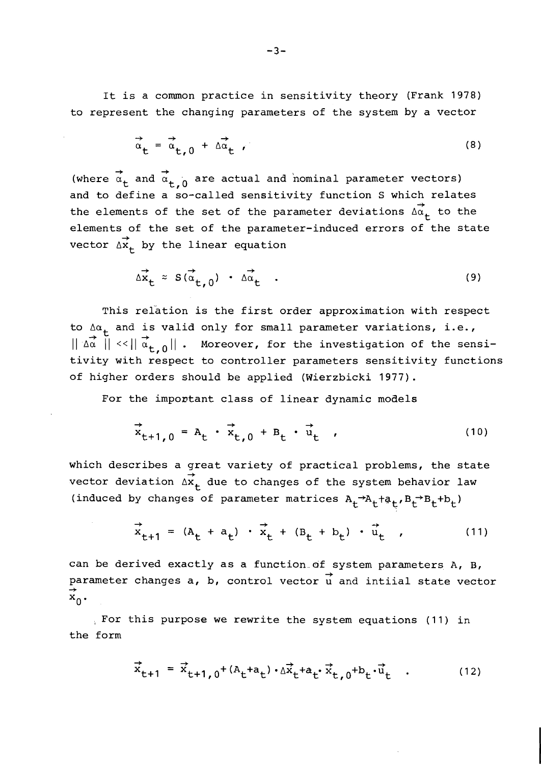It is a common practice in sensitivity theory (Frank 1978) to represent the changing parameters of the system by a vector

$$
\vec{\alpha}_{t} = \vec{\alpha}_{t,0} + \vec{\Delta \alpha}_{t} \tag{8}
$$

 $\rightarrow$  + (where  $\alpha_+$  and  $\alpha_{+}$   $\alpha_0$  are actual and nominal parameter vectors) and to define a so-called sensitivity function S which relates  $\overrightarrow{ }$ the elements of the set of the parameter deviations  $\overrightarrow{\Delta\alpha}_{+}$  to the elements of the set of the parameter-induced errors of the state  $\rightarrow$ vector  $\Delta \mathbf{x_t}$  by the linear equation

$$
\Delta \vec{x}_t \approx S(\vec{\alpha}_{t,0}) \cdot \Delta \vec{\alpha}_t \quad . \tag{9}
$$

This relation is the first order approximation with respect to  $\Delta \alpha_t$  and is valid only for small parameter variations, i.e.,  $\|\vec{a} \|\leq \|\vec{a}_{t,0}\|$ . Moreover, for the investigation of the sensitivity with respect to controller parameters sensitivity functions of higher orders should be applied (Wierzbicki 1977).

For the important class of linear dynamic models

$$
\vec{x}_{t+1,0} = A_t \cdot \vec{x}_{t,0} + B_t \cdot \vec{u}_t \tag{10}
$$

which describes a great variety of practical problems, the state gr<br>→ vector deviation  $\Delta \mathbf{x}_{\mathbf{t}}^{\top}$  due to changes of the system behavior law (induced by changes of parameter matrices  $A_t^{-A}A_t+a_t$ ,  $B_t^{-B}B_t+b_t$ )

$$
\vec{x}_{t+1} = (A_t + a_t) \cdot \vec{x}_t + (B_t + b_t) \cdot \vec{u}_t \tag{11}
$$

can be derived exactly as a function of system parameters A, B, can be derived exactly as a function or system parameters A, B,<br>parameter changes a, b, control vector u and intiial state vector  $\uparrow$ 

., For this purpose we rewrite the system equations (11) in the form

$$
\vec{x}_{t+1} = \vec{x}_{t+1,0} + (A_t + a_t) \cdot \Delta \vec{x}_t + a_t \vec{x}_t, 0 + b_t \vec{u}_t
$$
 (12)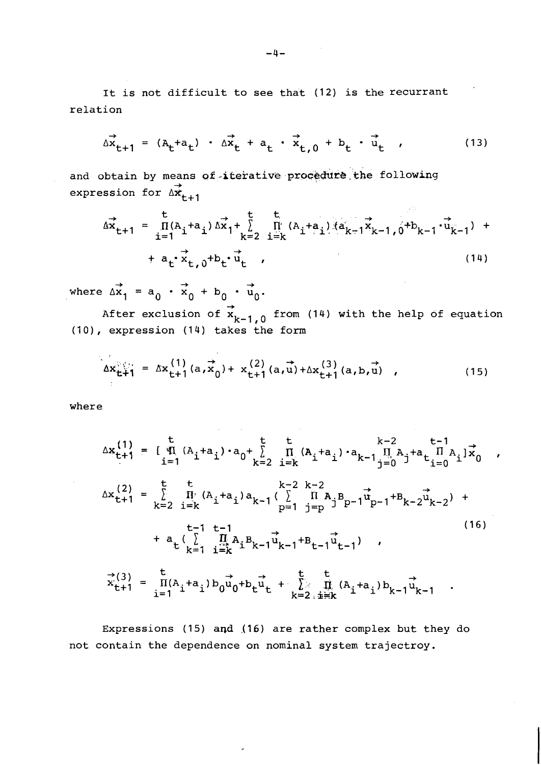It is not difficult to see that (12) is the recurrant relation

$$
\Delta \vec{x}_{t+1} = (A_t + a_t) \cdot \Delta \vec{x}_t + a_t \cdot \vec{x}_{t,0} + b_t \cdot \vec{u}_t \tag{13}
$$

and obtain by means of-iterative procedure the following :an<br>→ expression for  $\iota$ 

$$
\overrightarrow{ax}_{t+1} = \prod_{i=1}^{t} (A_i + a_i) \overrightarrow{ax}_1 + \sum_{k=2}^{t} \prod_{i=k}^{t} (A_i + a_i) \overrightarrow{ax}_{k-1} + \overrightarrow{ax}_{k-1} + \overrightarrow{ax}_{t} + \overrightarrow{ax}_{t} + \overrightarrow{ax}_{t} + \overrightarrow{ax}_{t} + \overrightarrow{ax}_{t} + \overrightarrow{ax}_{t} + \overrightarrow{ax}_{t} + \overrightarrow{ax}_{t} + \overrightarrow{ax}_{t} + \overrightarrow{ax}_{t} + \overrightarrow{ax}_{t} + \overrightarrow{ax}_{t} + \overrightarrow{ax}_{t} + \overrightarrow{ax}_{t} + \overrightarrow{ax}_{t} + \overrightarrow{ax}_{t} + \overrightarrow{ax}_{t} + \overrightarrow{ax}_{t} + \overrightarrow{ax}_{t} + \overrightarrow{ax}_{t} + \overrightarrow{ax}_{t} + \overrightarrow{ax}_{t} + \overrightarrow{ax}_{t} + \overrightarrow{ax}_{t} + \overrightarrow{ax}_{t} + \overrightarrow{ax}_{t} + \overrightarrow{ax}_{t} + \overrightarrow{ax}_{t} + \overrightarrow{ax}_{t} + \overrightarrow{ax}_{t} + \overrightarrow{ax}_{t} + \overrightarrow{ax}_{t} + \overrightarrow{ax}_{t} + \overrightarrow{ax}_{t} + \overrightarrow{ax}_{t} + \overrightarrow{ax}_{t} + \overrightarrow{ax}_{t} + \overrightarrow{ax}_{t} + \overrightarrow{ax}_{t} + \overrightarrow{ax}_{t} + \overrightarrow{ax}_{t} + \overrightarrow{ax}_{t} + \overrightarrow{ax}_{t} + \overrightarrow{ax}_{t} + \overrightarrow{ax}_{t} + \overrightarrow{ax}_{t} + \overrightarrow{ax}_{t} + \overrightarrow{ax}_{t} + \overrightarrow{ax}_{t} + \overrightarrow{ax}_{t} + \overrightarrow{ax}_{t} + \overrightarrow{ax}_{t} + \overrightarrow{ax}_{t} + \overrightarrow{ax}_{t} + \overrightarrow{ax}_{t} + \overrightarrow{ax}_{t} + \overrightarrow{ax}_{t} + \overrightarrow{ax}_{t} + \overrightarrow{ax}_{t} + \overrightarrow{ax}_{t} + \overrightarrow{ax}_{t} + \overrightarrow{ax}_{t} + \overrightarrow{ax}_{t} + \overrightarrow{ax}_{t} + \overrightarrow{ax}_{t} + \overrightarrow{ax}_{t} + \overrightarrow{ax}_{t} + \overrightarrow{ax}_{t} + \overrightarrow{ax}_{t} + \overrightarrow{ax}_{t} + \overrightarrow{ax}_{t} + \overrightarrow{ax}_{t} + \overrightarrow{ax}_{t} + \overrightarrow{ax}_{t} + \overrightarrow{ax}_{t} + \
$$

 $\mathcal{L}^{\pm}$  :

 $\mathbf{r}$ 

 $\vec{r}$  +  $\vec{r}$  +  $\vec{r}$ where  $\Delta x_1 = a_0 \cdot x_0 + b_0 \cdot u_0$ .

After exclusion of  $\overrightarrow{x}_{k-1,0}$  from (14) with the help of equation  $(10)$ , expression  $(14)$  takes the form

$$
\Delta x_{t+1}^{(1)} = \Delta x_{t+1}^{(1)}(a, x_0) + x_{t+1}^{(2)}(a, u) + \Delta x_{t+1}^{(3)}(a, b, u), \qquad (15)
$$

where

$$
\Delta x_{t+1}^{(1)} = [\mathbf{q}^{t} (A_{i} + a_{i}) \cdot a_{0} + \sum_{k=2}^{t} \mathbf{q}^{t} (A_{i} + a_{i}) \cdot a_{k-1} \mathbf{q}^{t} A_{j=0} + \sum_{i=0}^{t-1} \mathbf{q}^{t} A_{i}] \mathbf{x}_{0}
$$
  
\n
$$
\Delta x_{t+1}^{(2)} = \sum_{k=2}^{t} \mathbf{q}^{t} (A_{i} + a_{i}) a_{k-1} (\sum_{p=1}^{k-2} \mathbf{q}^{t} A_{j} - a_{p-1} \mathbf{q}^{t} A_{k-2} \mathbf{q}^{t} A_{k-2}) + \sum_{k=1}^{t-1} \mathbf{q}^{t} (A_{i} + a_{i}) a_{k-1} \mathbf{q}^{t} A_{j=0} + a_{k} (\sum_{k=1}^{t-1} \mathbf{q}^{t} A_{i} B_{k-1} \mathbf{q}^{t} A_{k-1} + B_{t-1} \mathbf{q}^{t} A_{i-1})
$$
  
\n
$$
+ a_{k} (\sum_{k=1}^{t} \mathbf{q}^{t} A_{i} B_{k-1} \mathbf{q}^{t} A_{k-1} + B_{t-1} \mathbf{q}^{t} A_{i-1})
$$
  
\n
$$
\Delta x_{t+1}^{(3)} = \mathbf{q}^{t} (A_{i} + a_{i}) b_{0} \mathbf{q}^{t} A_{j} + \sum_{k=2}^{t} \mathbf{q}^{t} (A_{i} + a_{i}) b_{k-1} \mathbf{q}^{t} A_{k-1}
$$
  
\n(16)

Expressions (15) and (16) are rather complex but they do not contain the dependence on nominal system trajectroy.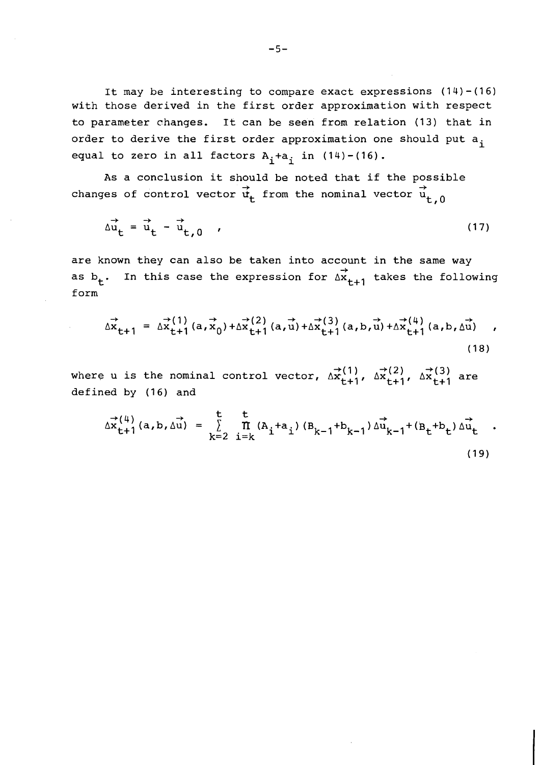It nay be interesting to compare exact expressions (14)-(16) with those derived in the first order approximation with respect to parameter changes. It can be seen from relation (13) that in order to derive the first order approximation one should put  $a_i$ equal to zero in all factors  $A_i+a_i$  in  $(14)-(16)$ .

As a conclusion it should be noted that if the possible -b -b changes of control vector  $\dot{\texttt{u}}_{\texttt{t}}$  from the nominal vector  $\texttt{u}_{\texttt{t},0}$ 

$$
\Delta \vec{u}_t = \vec{u}_t - \vec{u}_{t,0} \qquad (17)
$$

are known they can also be taken into account in the same way  $\rightarrow$ as  $b_+$ . In this case the expression for  $\Delta x_{t+1}$  takes the following form

$$
\Delta \vec{x}_{t+1} = \Delta \vec{x}_{t+1}^{(1)} (a, \vec{x}_0) + \Delta \vec{x}_{t+1}^{(2)} (a, \vec{u}) + \Delta \vec{x}_{t+1}^{(3)} (a, b, \vec{u}) + \Delta \vec{x}_{t+1}^{(4)} (a, b, \Delta \vec{u}) ,
$$
\n(18)

where u is the nominal control vector,  $\Delta \mathbf{x}_{t+1}^{(1)}$ ,  $\Delta \mathbf{x}_{t+1}^{(2)}$ ,  $\Delta \mathbf{x}_{t+1}^{(3)}$  are defined by (16) and

$$
\Delta x_{t+1}^{(4)}(a,b,\Delta u) = \sum_{k=2}^{t} \prod_{i=k}^{t} (A_{i} + a_{i}) (B_{k-1} + b_{k-1}) \Delta u_{k-1}^{+} (B_{t} + b_{t}) \Delta u_{t}^{+}
$$
 (19)